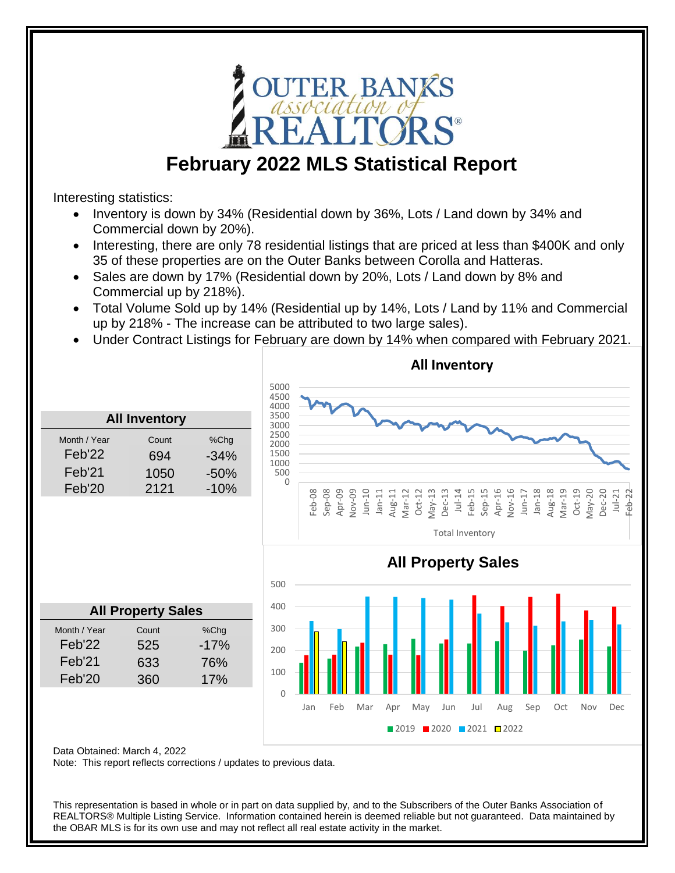

## **February 2022 MLS Statistical Report**

Interesting statistics:

- Inventory is down by 34% (Residential down by 36%, Lots / Land down by 34% and Commercial down by 20%).
- Interesting, there are only 78 residential listings that are priced at less than \$400K and only 35 of these properties are on the Outer Banks between Corolla and Hatteras.
- Sales are down by 17% (Residential down by 20%, Lots / Land down by 8% and Commercial up by 218%).
- Total Volume Sold up by 14% (Residential up by 14%, Lots / Land by 11% and Commercial up by 218% - The increase can be attributed to two large sales).
- Under Contract Listings for February are down by 14% when compared with February 2021.



Data Obtained: March 4, 2022

Note: This report reflects corrections / updates to previous data.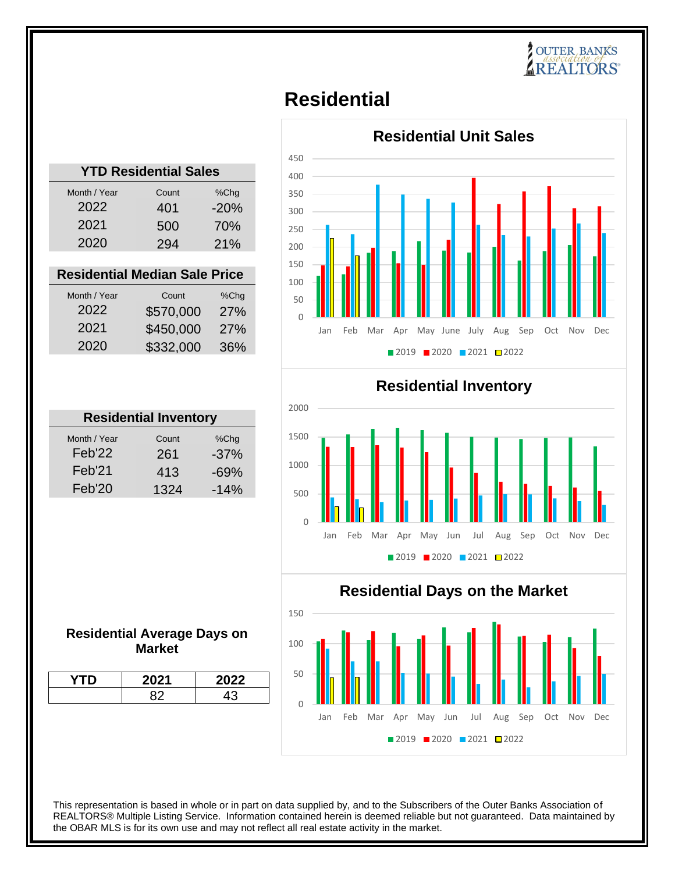## **OUTER BANKS AREALTORS**

## **Residential**

| <b>YTD Residential Sales</b> |       |        |
|------------------------------|-------|--------|
| Month / Year                 | Count | %Chq   |
| 2022                         | 401   | $-20%$ |
| 2021                         | 500   | 70%    |
| 2020                         | 294   | 21%    |
|                              |       |        |

### **Residential Median Sale Price**

| Month / Year | Count     | %Chq |
|--------------|-----------|------|
| 2022         | \$570,000 | 27%  |
| 2021         | \$450,000 | 27%  |
| 2020         | \$332,000 | 36%  |

| <b>Residential Inventory</b> |        |  |
|------------------------------|--------|--|
| Count                        | %Chg   |  |
| 261                          | $-37%$ |  |
| 413                          | $-69%$ |  |
| 1324                         | $-14%$ |  |
|                              |        |  |

### **Residential Average Days on Market**

| 2021 | $\tilde{\phantom{a}}$<br>022 |
|------|------------------------------|
|      |                              |





### **Residential Days on the Market**

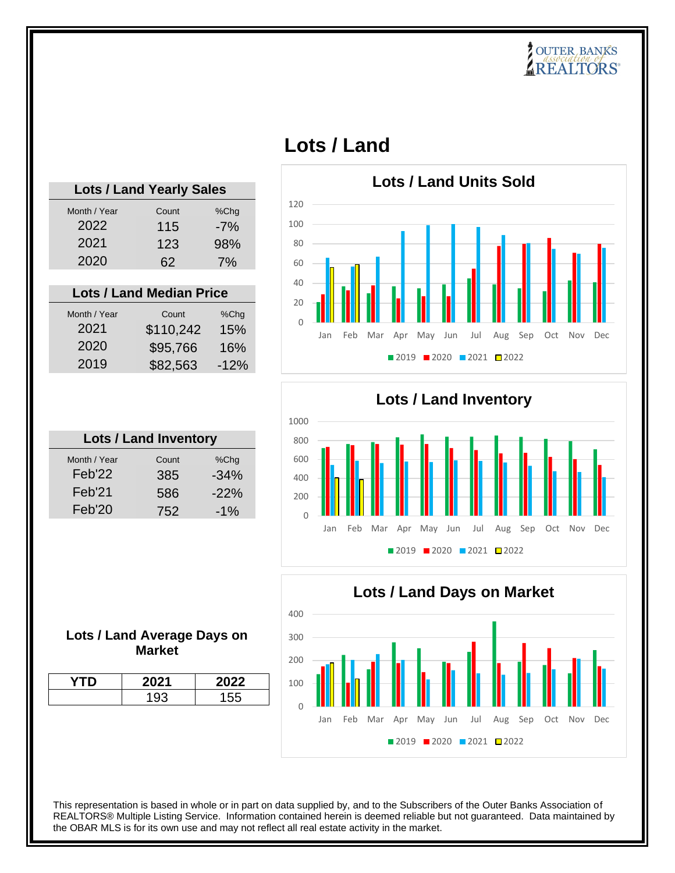# **POUTER BANKS**<br>*Association of* **REALTORS**

| d Yearly Sales |       |        | Lots / Lan |
|----------------|-------|--------|------------|
| Count          | %Chg  | 120    |            |
| 115            | $-7%$ | 100    |            |
| 123            | 98%   | 80     |            |
| 62             | 7%    | 60     |            |
|                |       | 40     |            |
| d Median Price |       | 20     |            |
| Count          | %Chq  | $\cap$ |            |

| <b>Lots / Land Yearly Sales</b> |       |       |  |
|---------------------------------|-------|-------|--|
| Month / Year                    | Count | %Chg  |  |
| 2022                            | 115   | $-7%$ |  |
| 2021                            | 123   | 98%   |  |
| 2020                            | 62    | 7%    |  |
|                                 |       |       |  |

### **Lots / Lan**

| Month / Year | Count     | %Chq   |
|--------------|-----------|--------|
| 2021         | \$110,242 | 15%    |
| 2020         | \$95,766  | 16%    |
| 2019         | \$82,563  | $-12%$ |
|              |           |        |

| <b>Lots / Land Inventory</b> |       |        |
|------------------------------|-------|--------|
| Month / Year                 | Count | %Chq   |
| Feb'22                       | 385   | $-34%$ |
| Feb'21                       | 586   | $-22%$ |
| Feb'20                       | 752   | $-1\%$ |
|                              |       |        |

| <b>Lots / Land Inventory</b> |       |        |  |
|------------------------------|-------|--------|--|
| Month / Year                 | Count | %Chg   |  |
| Feb'22                       | 385   | $-34%$ |  |
| Feb'21                       | 586   | $-22%$ |  |
| Feb'20                       | 752   | $-1\%$ |  |
|                              |       |        |  |

## **Lots / Land**







### **Lots / Land Average Days on Market**

| 2021 | 022 |
|------|-----|
|      | 155 |
|      |     |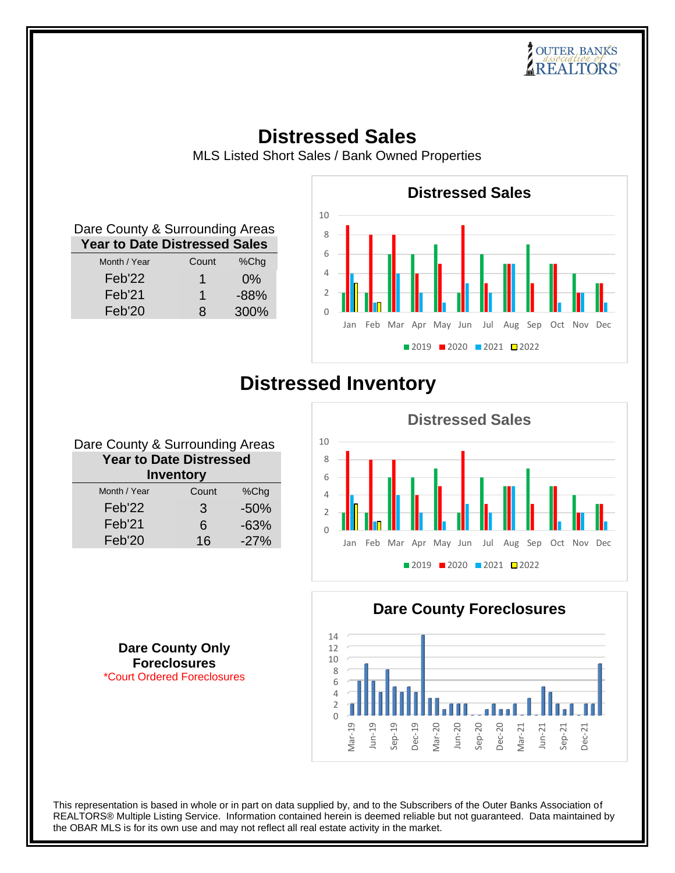## **Distressed Sales**

MLS Listed Short Sales / Bank Owned Properties

| Dare County & Surrounding Areas      |       |         |  |
|--------------------------------------|-------|---------|--|
| <b>Year to Date Distressed Sales</b> |       |         |  |
| Month / Year                         | Count | $%$ Chg |  |
| Feb'22                               | 1     | $0\%$   |  |
| Feb'21                               | 1     | $-88%$  |  |
| Feb'20                               | 8     | 300%    |  |



## **Distressed Inventory**

| Dare County & Surrounding Areas |       |        |
|---------------------------------|-------|--------|
| <b>Year to Date Distressed</b>  |       |        |
| <b>Inventory</b>                |       |        |
| Month / Year                    | Count | %Chg   |
| Feb'22                          | 3     | $-50%$ |
| Feb'21                          | 6     | $-63%$ |
| Feb'20                          | 16    | $-27%$ |
|                                 |       |        |

0 2 4 6 8 10 Jan Feb Mar Apr May Jun Jul Aug Sep Oct Nov Dec **Distressed Sales** ■ 2019 ■ 2020 ■ 2021 ■ 2022

**Dare County Foreclosures**

### 0 2 4 6 8 10 12 14 Mar-19 Jun-19 Sep-19 Dec-19 Mar-20 Jun-20 Sep-20 Dec-20 Mar-21 Jun-21 Sep-21 Dec-21

**Dare County Only Foreclosures** \*Court Ordered Foreclosures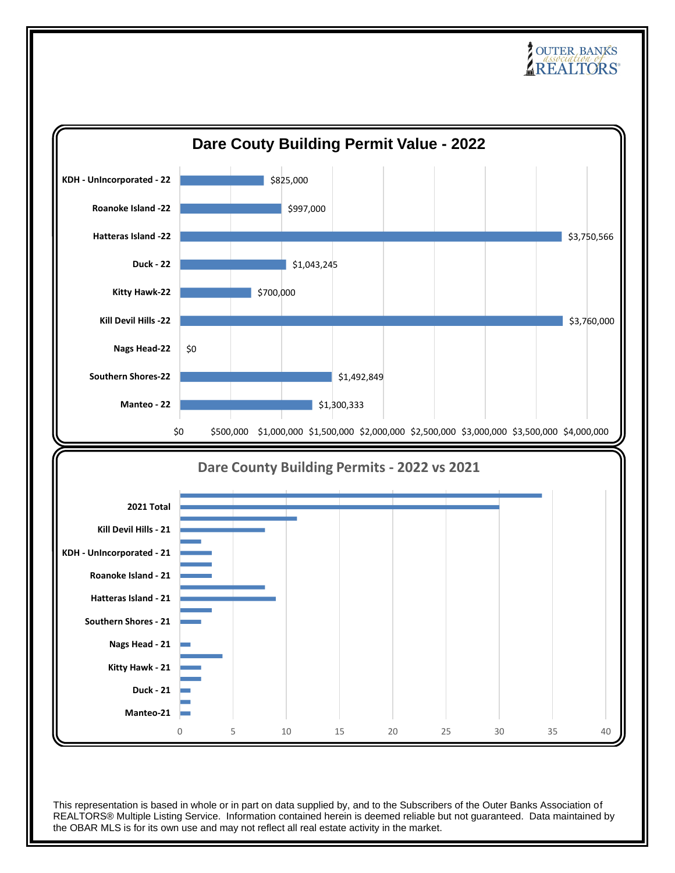# **POUTER BANKS**<br>*Association of* **REALTORS**

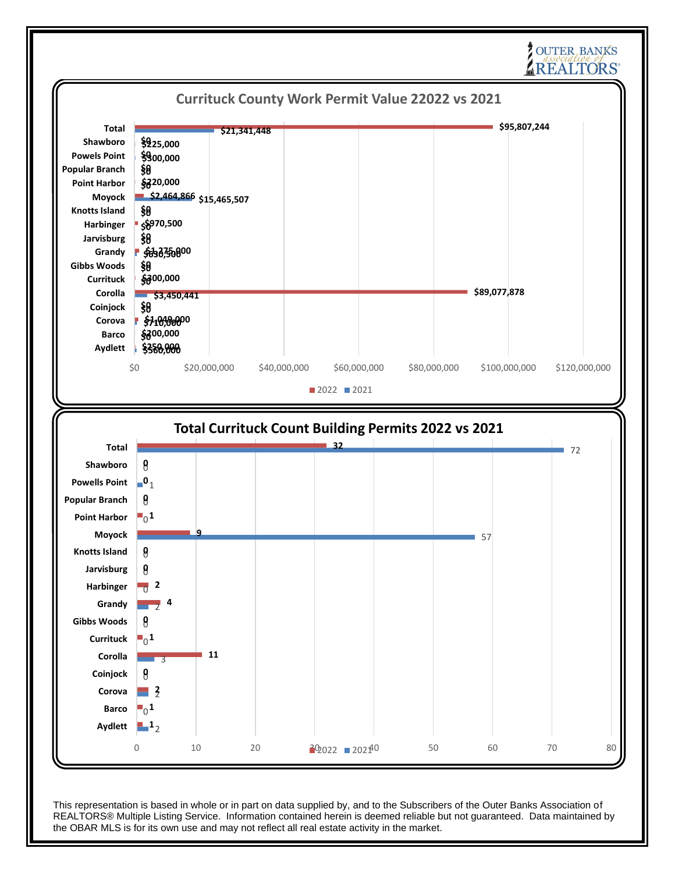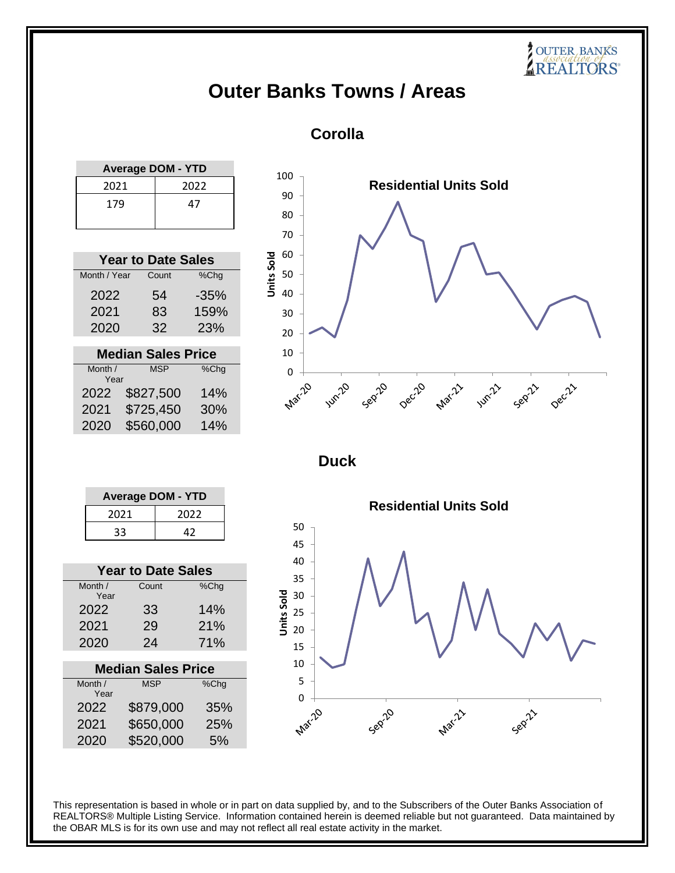## **Outer Banks Towns / Areas**

### **Corolla**

| <b>Average DOM - YTD</b> |    |
|--------------------------|----|
| 2021<br>2022             |    |
| 179                      | 47 |

| <b>Year to Date Sales</b> |       |        |
|---------------------------|-------|--------|
| Month / Year              | Count | %Chg   |
| 2022                      | 54    | $-35%$ |
| 2021                      | 83    | 159%   |
| 2020                      | 32    | 23%    |

| <b>Median Sales Price</b>             |           |     |
|---------------------------------------|-----------|-----|
| Month /<br><b>MSP</b><br>%Chg<br>Year |           |     |
|                                       |           |     |
| 2022                                  | \$827,500 | 14% |
| 2021                                  | \$725,450 | 30% |
| 2020                                  | \$560,000 | 14% |



**SOUTER BANKS** 

**Duck**



| <b>Year to Date Sales</b> |       |      |
|---------------------------|-------|------|
| Month /<br>Year           | Count | %Chg |
| 2022                      | 33    | 14%  |
| 2021                      | 29    | 21%  |
| 2020                      | 24    | 71%  |
|                           |       |      |

| <b>Median Sales Price</b> |            |         |
|---------------------------|------------|---------|
| Month /<br>Year           | <b>MSP</b> | $%$ Chg |
| 2022                      | \$879,000  | 35%     |
| 2021                      | \$650,000  | 25%     |
| 2020                      | \$520,000  | 5%      |

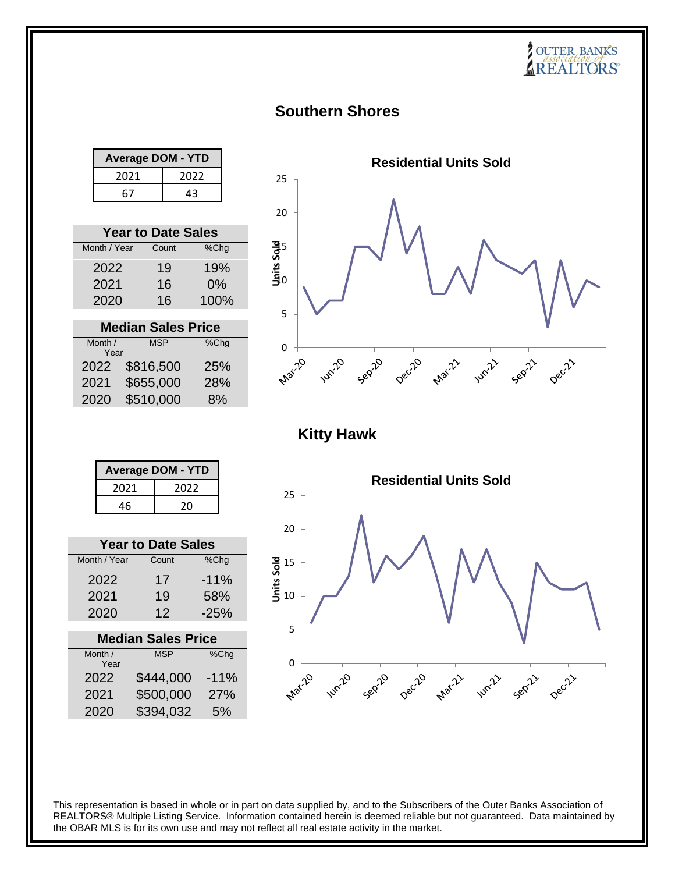## **Southern Shores**

| <b>Average DOM - YTD</b> |  |
|--------------------------|--|
| 2022<br>2021             |  |
| 67<br>43                 |  |

|              | <b>Year to Date Sales</b> |         |
|--------------|---------------------------|---------|
| Month / Year | Count                     | $%$ Chg |
| 2022         | 19                        | 19%     |
| 2021         | 16                        | $0\%$   |
| 2020         | 16                        | 100%    |
|              |                           |         |

| <b>Median Sales Price</b> |            |      |
|---------------------------|------------|------|
| Month /                   | <b>MSP</b> | %Chg |
| Year                      |            |      |
| 2022                      | \$816,500  | 25%  |
| 2021                      | \$655,000  | 28%  |
| 2020                      | \$510,000  | 8%   |



**Kitty Hawk**

| <b>Average DOM - YTD</b> |      |  |
|--------------------------|------|--|
| 2021                     | 2022 |  |
| 46                       | 20   |  |

| <b>Year to Date Sales</b> |       |        |
|---------------------------|-------|--------|
| Month / Year              | Count | %Chg   |
| 2022                      | 17    | $-11%$ |
| 2021                      | 19    | 58%    |
| 2020                      | 12    | $-25%$ |

| <b>Median Sales Price</b> |        |  |
|---------------------------|--------|--|
| <b>MSP</b>                | %Chg   |  |
| \$444,000                 | $-11%$ |  |
| \$500,000                 | 27%    |  |
| \$394,032                 | 5%     |  |
|                           |        |  |

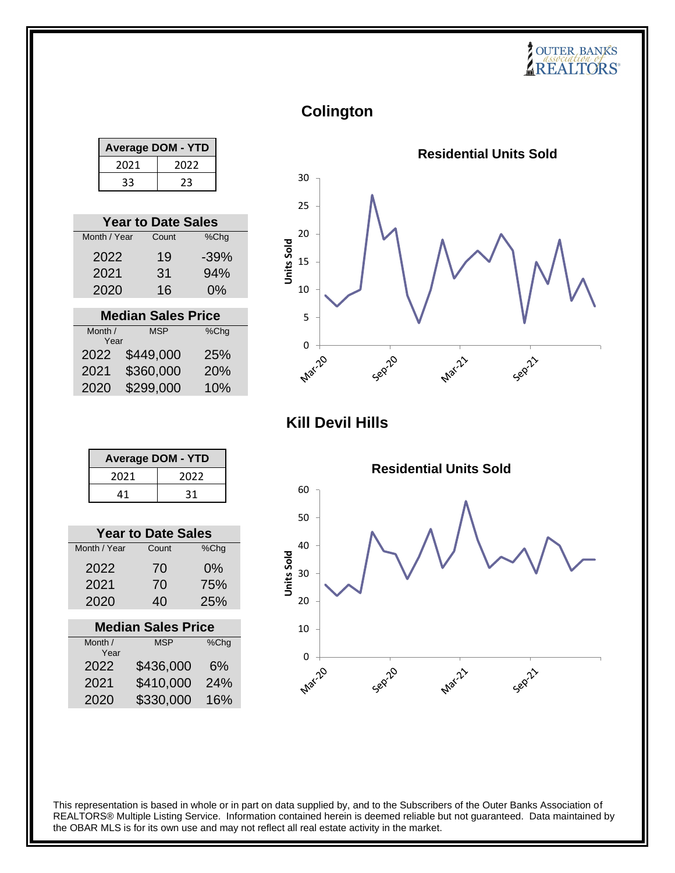**Colington**

| <b>Average DOM - YTD</b> |  |  |
|--------------------------|--|--|
| 2021<br>2022             |  |  |
| 33<br>23                 |  |  |

| <b>Year to Date Sales</b> |       |        |
|---------------------------|-------|--------|
| Month / Year              | Count | %Chg   |
| 2022                      | 19    | $-39%$ |
| 2021                      | 31    | 94%    |
| 2020                      | 16    | 0%     |

| <b>Median Sales Price</b> |            |         |  |  |
|---------------------------|------------|---------|--|--|
| Month /                   | <b>MSP</b> | $%$ Chg |  |  |
| Year                      |            |         |  |  |
| 2022                      | \$449,000  | 25%     |  |  |
| 2021                      | \$360,000  | 20%     |  |  |
| 2020                      | \$299,000  | 10%     |  |  |



**Kill Devil Hills**

| <b>Average DOM - YTD</b> |      |  |  |
|--------------------------|------|--|--|
| 2021                     | 2022 |  |  |
| 41                       | 31   |  |  |

| <b>Year to Date Sales</b> |       |       |  |  |
|---------------------------|-------|-------|--|--|
| Month / Year              | Count | %Chg  |  |  |
| 2022                      | 70    | $0\%$ |  |  |
| 2021                      | 70    | 75%   |  |  |
| 2020                      | 40    | 25%   |  |  |
|                           |       |       |  |  |

| <b>Median Sales Price</b> |            |      |  |  |
|---------------------------|------------|------|--|--|
| Month /                   | <b>MSP</b> | %Chg |  |  |
| Year                      |            |      |  |  |
| 2022                      | \$436,000  | 6%   |  |  |
| 2021                      | \$410,000  | 24%  |  |  |
| 2020                      | \$330,000  | 16%  |  |  |
|                           |            |      |  |  |

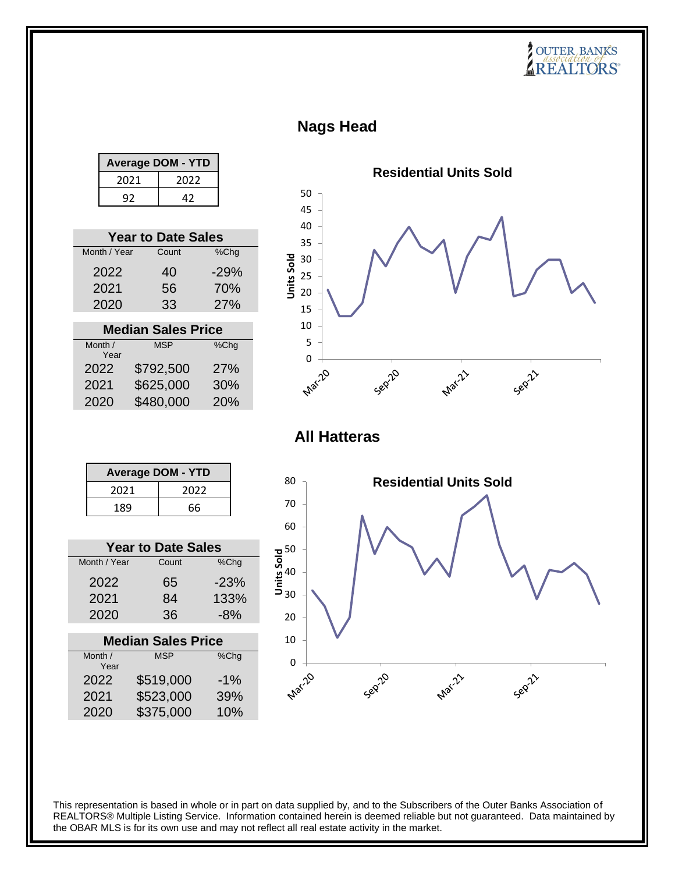## **Nags Head**

|         |              | <b>Average DOM - YTD</b>  |        |                                                          |                     |         |                               |        |  |
|---------|--------------|---------------------------|--------|----------------------------------------------------------|---------------------|---------|-------------------------------|--------|--|
|         | 2021         | 2022                      |        |                                                          |                     |         | <b>Residential Units Sold</b> |        |  |
|         | 92           | 42                        |        | 50                                                       |                     |         |                               |        |  |
|         |              |                           |        | 45                                                       |                     |         |                               |        |  |
|         |              | <b>Year to Date Sales</b> |        | 40                                                       |                     |         |                               |        |  |
|         | Month / Year | Count                     | %Chg   | 35                                                       |                     |         |                               |        |  |
|         |              |                           |        | <b>Units Sold</b><br>30                                  |                     |         |                               |        |  |
|         | 2022         | 40                        | $-29%$ | 25                                                       |                     |         |                               |        |  |
|         | 2021         | 56                        | 70%    | 20                                                       |                     |         |                               |        |  |
|         | 2020         | 33                        | 27%    | 15                                                       |                     |         |                               |        |  |
|         |              | <b>Median Sales Price</b> |        | 10                                                       |                     |         |                               |        |  |
| Month / |              | <b>MSP</b>                | %Chg   | 5                                                        |                     |         |                               |        |  |
|         | Year         |                           |        | $\mathbf 0$                                              |                     |         |                               |        |  |
| 2022    |              | \$792,500                 | 27%    |                                                          | <b>Marz</b> 20      | Sepilo  | Mar-21                        | Sepill |  |
| 2021    |              | \$625,000                 | 30%    |                                                          |                     |         |                               |        |  |
| 2020    |              | \$480,000                 | 20%    |                                                          |                     |         |                               |        |  |
|         |              |                           |        |                                                          | <b>All Hatteras</b> |         |                               |        |  |
|         |              | <b>Average DOM - YTD</b>  |        | 80                                                       |                     |         | <b>Residential Units Sold</b> |        |  |
|         | 2021         | 2022                      |        |                                                          |                     |         |                               |        |  |
|         | 189          | 66                        |        | 70                                                       |                     |         |                               |        |  |
|         |              |                           |        | 60                                                       |                     |         |                               |        |  |
|         |              | <b>Year to Date Sales</b> |        |                                                          |                     |         |                               |        |  |
|         | Month / Year | Count                     | %Chg   | $\frac{1}{9}$ 50<br>$\frac{1}{9}$ 40<br>$\frac{1}{9}$ 30 |                     |         |                               |        |  |
|         | 2022         | 65                        | $-23%$ |                                                          |                     |         |                               |        |  |
|         | 2021         | 84                        | 133%   |                                                          |                     |         |                               |        |  |
|         | 2020         | 36                        | $-8%$  |                                                          |                     |         |                               |        |  |
|         |              |                           |        | 20                                                       |                     |         |                               |        |  |
|         |              | <b>Median Sales Price</b> |        | 10                                                       |                     |         |                               |        |  |
| Month / | Year         | <b>MSP</b>                | %Chg   | $\pmb{0}$                                                |                     |         |                               |        |  |
| 2022    |              | \$519,000                 | $-1%$  | <b>Marz</b> 20                                           |                     | Seprico | Mar-21                        | Sepill |  |
| 2021    |              | \$523,000                 | 39%    |                                                          |                     |         |                               |        |  |
| 2020    |              | \$375,000                 | 10%    |                                                          |                     |         |                               |        |  |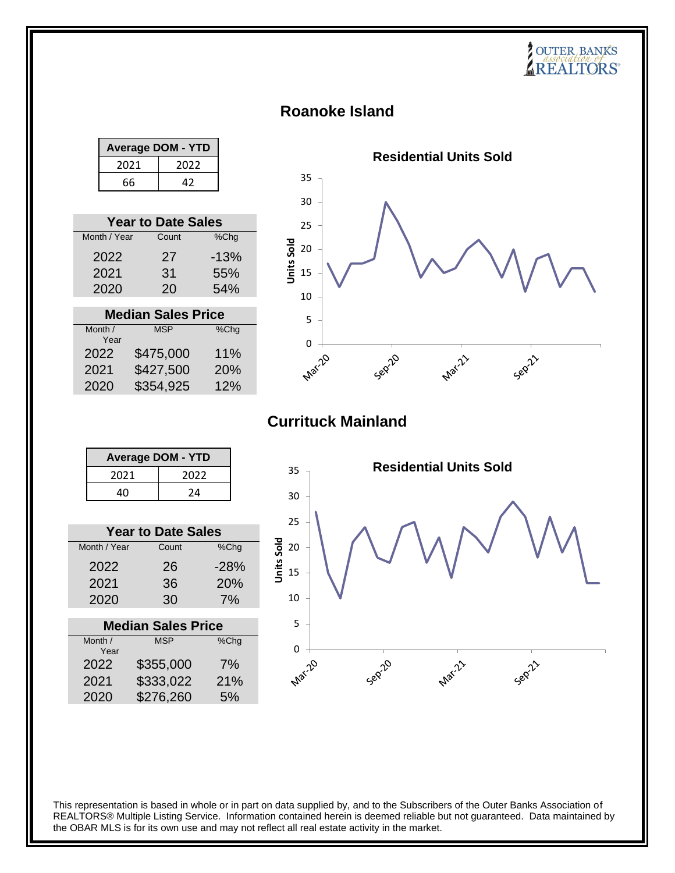## **Roanoke Island**

| <b>Average DOM - YTD</b> |      |  |  |
|--------------------------|------|--|--|
| 2021                     | 2022 |  |  |
| 66<br>47                 |      |  |  |

| <b>Year to Date Sales</b> |       |        |  |  |
|---------------------------|-------|--------|--|--|
| Month / Year              | Count | %Chg   |  |  |
| 2022                      | 27    | $-13%$ |  |  |
| 2021                      | 31    | 55%    |  |  |
| 2020                      | 20    | 54%    |  |  |

| <b>Median Sales Price</b> |            |      |  |  |
|---------------------------|------------|------|--|--|
| Month /                   | <b>MSP</b> | %Chg |  |  |
| Year                      |            |      |  |  |
| 2022                      | \$475,000  | 11%  |  |  |
| 2021                      | \$427,500  | 20%  |  |  |
| 2020                      | \$354,925  | 12%  |  |  |



**SOUTER BANKS** 

## **Currituck Mainland**

| <b>Average DOM - YTD</b> |      |  |
|--------------------------|------|--|
| 2021                     | 2022 |  |
| 40                       | 24   |  |

| <b>Year to Date Sales</b> |       |        |  |  |  |
|---------------------------|-------|--------|--|--|--|
| Month / Year              | Count | %Chg   |  |  |  |
| 2022                      | 26    | $-28%$ |  |  |  |
| 2021                      | 36    | 20%    |  |  |  |
| 2020                      | 30    | 7%     |  |  |  |

| <b>Median Sales Price</b> |            |      |  |  |
|---------------------------|------------|------|--|--|
| Month /                   | <b>MSP</b> | %Chg |  |  |
| Year                      |            |      |  |  |
| 2022                      | \$355,000  | 7%   |  |  |
| 2021                      | \$333,022  | 21%  |  |  |
| 2020                      | \$276,260  | 5%   |  |  |
|                           |            |      |  |  |